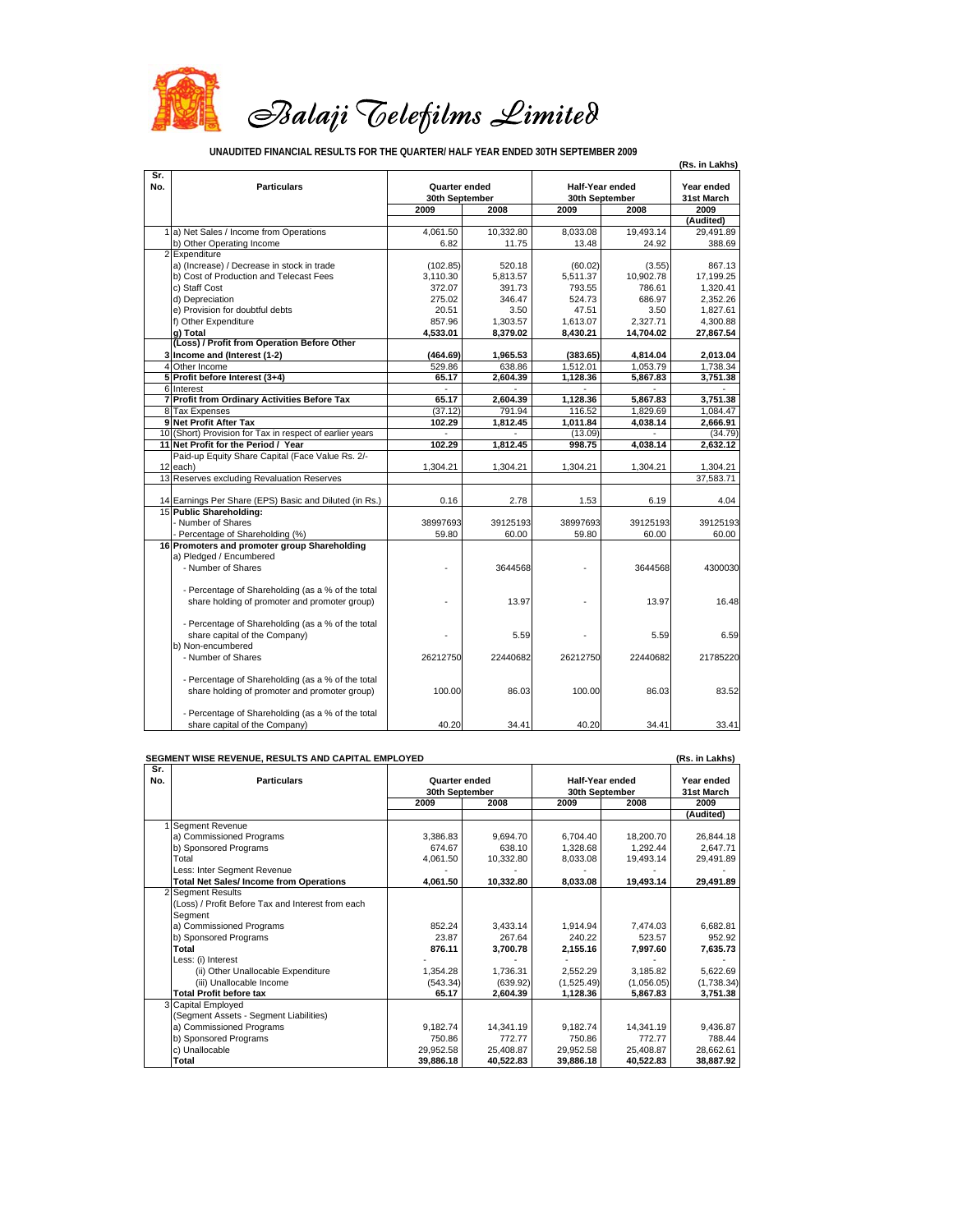

**UNAUDITED FINANCIAL RESULTS FOR THE QUARTER/ HALF YEAR ENDED 30TH SEPTEMBER 2009**

**(Rs. in Lakhs) Sr.**  No. **Particulars Follow Post Life Conserve**d (Protected Half-Year ended Prear ended **31st March 2009 2008 2009 2008 2009 (Audited)** 1 a) Net Sales / Income from Operations 4,061.50 10,332.80 8,033.08 19,493.14 29,491.89<br>
b) Other Operating Income 6.82 11.75 13.48 24.92 388.69 b) Other Operating Income Expenditure a) (Increase) / Decrease in stock in trade (102.85) (102.85) 520.18 (60.02) (3.55) 867.13<br>
b) Cost of Production and Telecast Fees 3.110.30 5.813.57 5.511.37 10.902.78 17.199.25 b) Cost of Production and Telecast Fees 3,110.30 5,813.57 5,511.37 10,902.78 17,199.25 c) Staff Cost 372.07 | 391.73 | 793.55 | 786.61 | 1,320.41 d) Depreciation 275.02 346.47 524.73 686.97 2,352.26 e) Provision for doubtful debts 20.51 3.50 47.51 3.50 1,827.61 f) Other Expenditure 1.300.88 1,303.57 1,613.07 2,327.71 4,300.88<br> **g) Total 14,704.02** 27,867.54 4,533.01 8,379.02 8,430.21 14,704.02 27,867.54 **g) Total 4,533.01 8,379.0 8,430.21 2 14,704.0 27,867.5 2 4 3 (Loss) / Profit from Operation Before Other Income and (Interest (1-2) (464.69) 1,965.53 (383.65) 4,814.04 2,013.04**  4 Other Income 529.86 638.86 1,512.01 1,053.79 1,738.34 **5 Profit before Interest (3+4)** 65.17 **65.17 2,604.39 1,128.36 5,867.83** 3,751.38 6 Interest - - - - - **7 Profit from Ordinary Activities Before Tax 65.17 1,604.39 1,128.36 65.867.83 9 3,751.38**<br>**8** Tax Expenses **65.17 65.17 9 9 65.17 9 1,128.36 65.87.83 1,084.47** 8 Tax Expenses (37.12) 791.94 116.52 1,829.69 1,084.47<br>19 Net Profit After Tax (37.12) 102.29 1,812.45 1,011.84 4,038.14 2,666.91 **9 Net Profit After Tax**<br> **9 Net Profit After Tax** in respect of earlier vears<br> **102.29 1,812.45 1,011.84 4,038.14 2,666.91 4,038.14 4,038.14 4,038.14 4,038.14 4,038.14 4,038.14 4,038.14 4,038.14** 10 (Short) Provision for Tax in respect of earlier years 102.29 (13.09) (13.09) **11 Net Profit for the Period / Year 102.29 1.812.45 998.75 4.038.14 2.632.12** 12 Paid-up Equity Share Capital (Face Value Rs. 2/-<br>each) each) 1,304.21 1,304.21 1,304.21 1,304.21 1,304.21 13 Reserves excluding Revaluation Reserves 37,583.71 14 Earnings Per Share (EPS) Basic and Diluted (in Rs.) 0.16 2.78 1.53 6.19 6.19 4.04 15 **Public Shareholding:** - Number of Shares 389125193<br>- Number of Shares 38125193<br>- Percentage of Shareholding (%) 39125193 39125193 39125193 39125193 39125193 Percentage of Shareholding (%) **16 Promoters and promoter group Shareholding** a) Pledged / Encumbered - Number of Shares - 3644568 - 3644568 4300030 - Percentage of Shareholding (as a % of the total share holding of promoter and promoter group)  $\overline{a}$  13.97  $\overline{a}$  13.97 16.48 - Percentage of Shareholding (as a % of the total share capital of the Company) and the Company of the Company of the Company of the Supersystem of the Supersystem of the Supersystem of the Supersystem of the Supersystem of the Supersystem of the Supersystem of the Supers b) Non-encumbered - Number of Shares 26212750 22440682 26212750 22440682 21785220 - Percentage of Shareholding (as a % of the total share holding of promoter and promoter group) 100.00 86.03 100.00 86.03 83.52 - Percentage of Shareholding (as a % of the total share capital of the Company)  $40.20 \begin{array}{|c|c|c|c|c|c|} \hline 34.41 & 40.20 & 34.41 \end{array}$  33.41 **Quarter ended Half-Year ended 30th September 30th September**

## **SEGMENT WISE REVENUE, RESULTS AND CAPITAL EMPLOYED (Rs. in Lakhs)**

| Sr. |                                                   |                |           |                 |            |            |
|-----|---------------------------------------------------|----------------|-----------|-----------------|------------|------------|
| No. | <b>Particulars</b>                                | Quarter ended  |           | Half-Year ended |            | Year ended |
|     |                                                   | 30th September |           | 30th September  |            | 31st March |
|     |                                                   | 2009           | 2008      | 2009            | 2008       | 2009       |
|     |                                                   |                |           |                 |            | (Audited)  |
|     | Segment Revenue                                   |                |           |                 |            |            |
|     | a) Commissioned Programs                          | 3,386.83       | 9,694.70  | 6,704.40        | 18,200.70  | 26,844.18  |
|     | b) Sponsored Programs                             | 674.67         | 638.10    | 1,328.68        | 1.292.44   | 2,647.71   |
|     | Total                                             | 4,061.50       | 10,332.80 | 8,033.08        | 19,493.14  | 29,491.89  |
|     | Less: Inter Segment Revenue                       |                |           |                 |            |            |
|     | <b>Total Net Sales/Income from Operations</b>     | 4,061.50       | 10,332.80 | 8,033.08        | 19,493.14  | 29,491.89  |
|     | 2 Segment Results                                 |                |           |                 |            |            |
|     | (Loss) / Profit Before Tax and Interest from each |                |           |                 |            |            |
|     | Segment                                           |                |           |                 |            |            |
|     | a) Commissioned Programs                          | 852.24         | 3,433.14  | 1,914.94        | 7,474.03   | 6,682.81   |
|     | b) Sponsored Programs                             | 23.87          | 267.64    | 240.22          | 523.57     | 952.92     |
|     | Total                                             | 876.11         | 3,700.78  | 2,155.16        | 7,997.60   | 7,635.73   |
|     | Less: (i) Interest                                |                |           |                 |            |            |
|     | (ii) Other Unallocable Expenditure                | 1,354.28       | 1.736.31  | 2,552.29        | 3.185.82   | 5,622.69   |
|     | (iii) Unallocable Income                          | (543.34)       | (639.92)  | (1,525.49)      | (1,056.05) | (1,738.34) |
|     | <b>Total Profit before tax</b>                    | 65.17          | 2,604.39  | 1,128.36        | 5,867.83   | 3,751.38   |
|     | 3 Capital Employed                                |                |           |                 |            |            |
|     | (Segment Assets - Segment Liabilities)            |                |           |                 |            |            |
|     | a) Commissioned Programs                          | 9,182.74       | 14,341.19 | 9,182.74        | 14,341.19  | 9,436.87   |
|     | b) Sponsored Programs                             | 750.86         | 772.77    | 750.86          | 772.77     | 788.44     |
|     | c) Unallocable                                    | 29,952.58      | 25,408.87 | 29,952.58       | 25,408.87  | 28,662.61  |
|     | Total                                             | 39,886.18      | 40,522.83 | 39.886.18       | 40.522.83  | 38.887.92  |